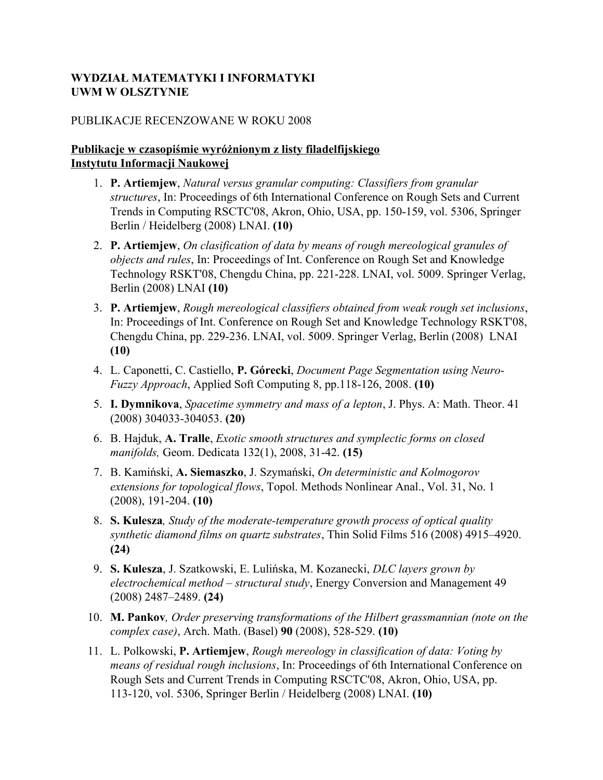### **WYDZIAŁ MATEMATYKI I INFORMATYKI UWM W OLSZTYNIE**

#### PUBLIKACJE RECENZOWANE W ROKU 2008

#### **Publikacje w czasopiśmie wyróżnionym z listy filadelfijskiego Instytutu Informacji Naukowej**

- 1. **P. Artiemjew**, *Natural versus granular computing: Classifiers from granular structures*, In: Proceedings of 6th International Conference on Rough Sets and Current Trends in Computing RSCTC'08, Akron, Ohio, USA, pp. 150-159, vol. 5306, Springer Berlin / Heidelberg (2008) LNAI. **(10)**
- 2. **P. Artiemjew**, *On clasification of data by means of rough mereological granules of objects and rules*, In: Proceedings of Int. Conference on Rough Set and Knowledge Technology RSKT'08, Chengdu China, pp. 221-228. LNAI, vol. 5009. Springer Verlag, Berlin (2008) LNAI **(10)**
- 3. **P. Artiemjew**, *Rough mereological classifiers obtained from weak rough set inclusions*, In: Proceedings of Int. Conference on Rough Set and Knowledge Technology RSKT'08, Chengdu China, pp. 229-236. LNAI, vol. 5009. Springer Verlag, Berlin (2008) LNAI **(10)**
- 4. L. Caponetti, C. Castiello, **P. Górecki**, *Document Page Segmentation using Neuro-Fuzzy Approach*, Applied Soft Computing 8, pp.118-126, 2008. **(10)**
- 5. **I. Dymnikova**, *Spacetime symmetry and mass of a lepton*, J. Phys. A: Math. Theor. 41 (2008) 304033-304053. **(20)**
- 6. B. Hajduk, **A. Tralle**, *Exotic smooth structures and symplectic forms on closed manifolds,* Geom. Dedicata 132(1), 2008, 31-42. **(15)**
- 7. B. Kamiński, **A. Siemaszko**, J. Szymański, *On deterministic and Kolmogorov extensions for topological flows*, Topol. Methods Nonlinear Anal., Vol. 31, No. 1 (2008), 191-204. **(10)**
- 8. **S. Kulesza***, Study of the moderate-temperature growth process of optical quality synthetic diamond films on quartz substrates*, Thin Solid Films 516 (2008) 4915–4920. **(24)**
- 9. **S. Kulesza**, J. Szatkowski, E. Lulińska, M. Kozanecki, *DLC layers grown by electrochemical method – structural study*, Energy Conversion and Management 49 (2008) 2487–2489. **(24)**
- 10. **M. Pankov***, Order preserving transformations of the Hilbert grassmannian (note on the complex case)*, Arch. Math. (Basel) **90** (2008), 528-529. **(10)**
- 11. L. Polkowski, **P. Artiemjew**, *Rough mereology in classification of data: Voting by means of residual rough inclusions*, In: Proceedings of 6th International Conference on Rough Sets and Current Trends in Computing RSCTC'08, Akron, Ohio, USA, pp. 113-120, vol. 5306, Springer Berlin / Heidelberg (2008) LNAI. **(10)**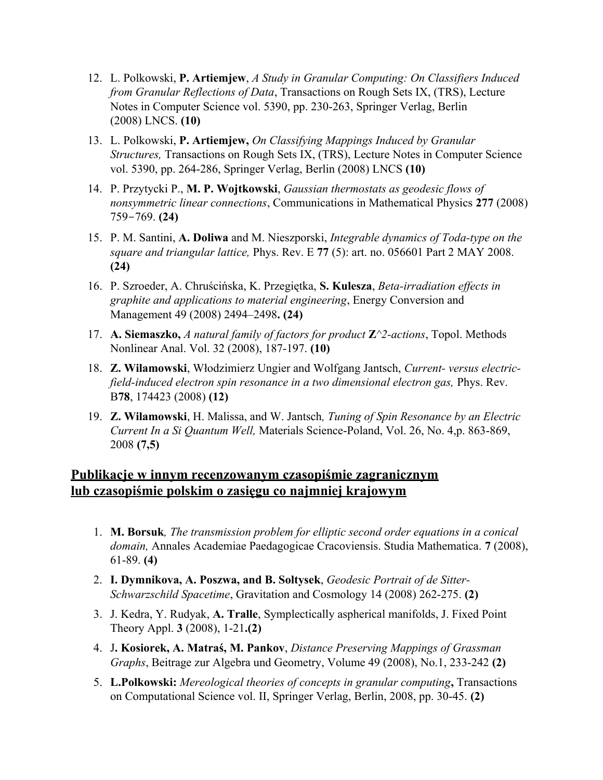- 12. L. Polkowski, **P. Artiemjew**, *A Study in Granular Computing: On Classifiers Induced from Granular Reflections of Data*, Transactions on Rough Sets IX, (TRS), Lecture Notes in Computer Science vol. 5390, pp. 230-263, Springer Verlag, Berlin (2008) LNCS. **(10)**
- 13. L. Polkowski, **P. Artiemjew,** *On Classifying Mappings Induced by Granular Structures,* Transactions on Rough Sets IX, (TRS), Lecture Notes in Computer Science vol. 5390, pp. 264-286, Springer Verlag, Berlin (2008) LNCS **(10)**
- 14. P. Przytycki P., **M. P. Wojtkowski**, *Gaussian thermostats as geodesic flows of nonsymmetric linear connections*, Communications in Mathematical Physics **277** (2008) 759-769. **(24)**
- 15. P. M. Santini, **A. Doliwa** and M. Nieszporski, *Integrable dynamics of Toda-type on the square and triangular lattice,* Phys. Rev. E **77** (5): art. no. 056601 Part 2 MAY 2008. **(24)**
- 16. P. Szroeder, A. Chruścińska, K. Przegiętka, **S. Kulesza**, *Beta-irradiation effects in graphite and applications to material engineering*, Energy Conversion and Management 49 (2008) 2494–2498**. (24)**
- 17. **A. Siemaszko,** *A natural family of factors for product* **Z***^2-actions*, Topol. Methods Nonlinear Anal. Vol. 32 (2008), 187-197. **(10)**
- 18. **Z. Wilamowski**, Włodzimierz Ungier and Wolfgang Jantsch, *Current- versus electricfield-induced electron spin resonance in a two dimensional electron gas,* Phys. Rev. B**78**, 174423 (2008) **(12)**
- 19. **Z. Wilamowski**, H. Malissa, and W. Jantsch*, Tuning of Spin Resonance by an Electric Current In a Si Quantum Well,* Materials Science-Poland, Vol. 26, No. 4,p. 863-869, 2008 **(7,5)**

## **Publikacje w innym recenzowanym czasopiśmie zagranicznym lub czasopiśmie polskim o zasięgu co najmniej krajowym**

- 1. **M. Borsuk***, The transmission problem for elliptic second order equations in a conical domain,* Annales Academiae Paedagogicae Cracoviensis. Studia Mathematica. **7** (2008), 61-89. **(4)**
- 2. **I. Dymnikova, A. Poszwa, and B. Soltysek**, *Geodesic Portrait of de Sitter-Schwarzschild Spacetime*, Gravitation and Cosmology 14 (2008) 262-275. **(2)**
- 3. J. Kedra, Y. Rudyak, **A. Tralle**, Symplectically aspherical manifolds, J. Fixed Point Theory Appl. **3** (2008), 1-21**.(2)**
- 4. J**. Kosiorek, A. Matraś, M. Pankov**, *Distance Preserving Mappings of Grassman Graphs*, Beitrage zur Algebra und Geometry, Volume 49 (2008), No.1, 233-242 **(2)**
- 5. **L.Polkowski:** *Mereological theories of concepts in granular computing***,** Transactions on Computational Science vol. II, Springer Verlag, Berlin, 2008, pp. 30-45. **(2)**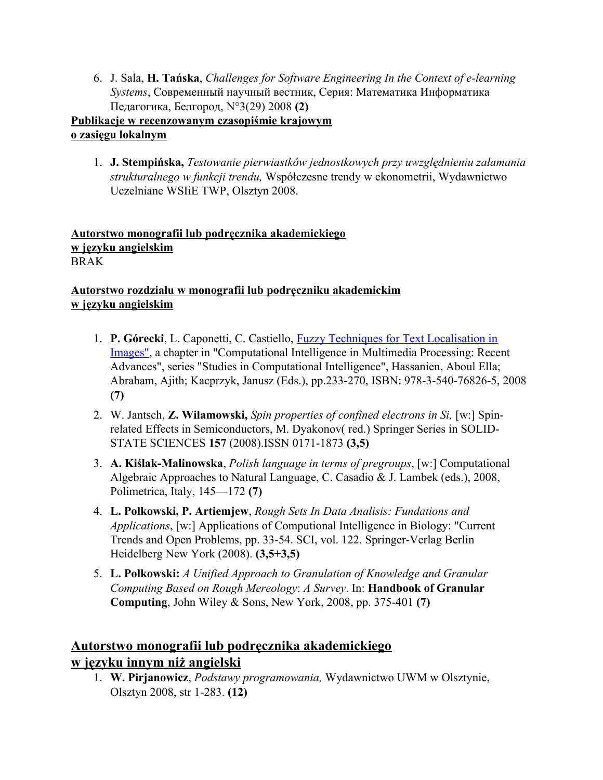6. J. Sala, **H. Tańska**, *Challenges for Software Engineering In the Context of e-learning Systems*, Современный научный веcтник, Серия: Математика Информатика Педагогика, Белгород, N°3(29) 2008 **(2)**

## **Publikacje w recenzowanym czasopiśmie krajowym o zasięgu lokalnym**

1. **J. Stempińska,** *Testowanie pierwiastków jednostkowych przy uwzględnieniu załamania strukturalnego w funkcji trendu,* Współczesne trendy w ekonometrii, Wydawnictwo Uczelniane WSIiE TWP, Olsztyn 2008.

### **Autorstwo monografii lub podręcznika akademickiego w języku angielskim** BRAK

## **Autorstwo rozdziału w monografii lub podręczniku akademickim w języku angielskim**

- 1. **P. Górecki**, L. Caponetti, C. Castiello, [Fuzzy Techniques for Text Localisation in](http://www.springerlink.com/content/1135145x27213326/) [Images",](http://www.springerlink.com/content/1135145x27213326/) a chapter in "Computational Intelligence in Multimedia Processing: Recent Advances", series "Studies in Computational Intelligence", Hassanien, Aboul Ella; Abraham, Ajith; Kacprzyk, Janusz (Eds.), pp.233-270, ISBN: 978-3-540-76826-5, 2008 **(7)**
- 2. W. Jantsch, **Z. Wilamowski,** *Spin properties of confined electrons in Si,* [w:] Spinrelated Effects in Semiconductors, M. Dyakonov( red.) Springer Series in SOLID-STATE SCIENCES **157** (2008).ISSN 0171-1873 **(3,5)**
- 3. **A. Kiślak-Malinowska**, *Polish language in terms of pregroups*, [w:] Computational Algebraic Approaches to Natural Language, C. Casadio & J. Lambek (eds.), 2008, Polimetrica, Italy, 145—172 **(7)**
- 4. **L. Polkowski, P. Artiemjew**, *Rough Sets In Data Analisis: Fundations and Applications*, [w:] Applications of Computional Intelligence in Biology: "Current Trends and Open Problems, pp. 33-54. SCI, vol. 122. Springer-Verlag Berlin Heidelberg New York (2008). **(3,5+3,5)**
- 5. **L. Polkowski:** *A Unified Approach to Granulation of Knowledge and Granular Computing Based on Rough Mereology*: *A Survey*. In: **Handbook of Granular Computing**, John Wiley & Sons, New York, 2008, pp. 375-401 **(7)**

# **Autorstwo monografii lub podręcznika akademickiego w języku innym niż angielski**

1. **W. Pirjanowicz**, *Podstawy programowania,* Wydawnictwo UWM w Olsztynie, Olsztyn 2008, str 1-283. **(12)**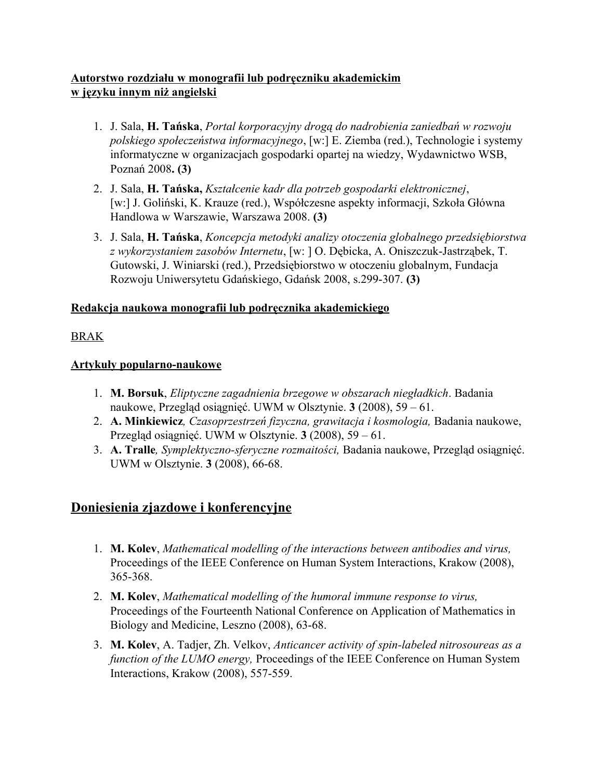## **Autorstwo rozdziału w monografii lub podręczniku akademickim w języku innym niż angielski**

- 1. J. Sala, **H. Tańska**, *Portal korporacyjny drogą do nadrobienia zaniedbań w rozwoju polskiego społeczeństwa informacyjnego*, [w:] E. Ziemba (red.), Technologie i systemy informatyczne w organizacjach gospodarki opartej na wiedzy, Wydawnictwo WSB, Poznań 2008**. (3)**
- 2. J. Sala, **H. Tańska,** *Kształcenie kadr dla potrzeb gospodarki elektronicznej*, [w:] J. Goliński, K. Krauze (red.), Współczesne aspekty informacji, Szkoła Główna Handlowa w Warszawie, Warszawa 2008. **(3)**
- 3. J. Sala, **H. Tańska**, *Koncepcja metodyki analizy otoczenia globalnego przedsiębiorstwa z wykorzystaniem zasobów Internetu*, [w: ] O. Dębicka, A. Oniszczuk-Jastrząbek, T. Gutowski, J. Winiarski (red.), Przedsiębiorstwo w otoczeniu globalnym, Fundacja Rozwoju Uniwersytetu Gdańskiego, Gdańsk 2008, s.299-307. **(3)**

## **Redakcja naukowa monografii lub podręcznika akademickiego**

## BRAK

## **Artykuły popularno-naukowe**

- 1. **M. Borsuk**, *Eliptyczne zagadnienia brzegowe w obszarach niegładkich*. Badania naukowe, Przegląd osiągnięć. UWM w Olsztynie. **3** (2008), 59 – 61.
- 2. **A. Minkiewicz***, Czasoprzestrzeń fizyczna, grawitacja i kosmologia,* Badania naukowe, Przegląd osiągnięć. UWM w Olsztynie. **3** (2008), 59 – 61.
- 3. **A. Tralle***, Symplektyczno-sferyczne rozmaitości,* Badania naukowe, Przegląd osiągnięć. UWM w Olsztynie. **3** (2008), 66-68.

# **Doniesienia zjazdowe i konferencyjne**

- 1. **M. Kolev**, *Mathematical modelling of the interactions between antibodies and virus,* Proceedings of the IEEE Conference on Human System Interactions, Krakow (2008), 365-368.
- 2. **M. Kolev**, *Mathematical modelling of the humoral immune response to virus,* Proceedings of the Fourteenth National Conference on Application of Mathematics in Biology and Medicine, Leszno (2008), 63-68.
- 3. **M. Kolev**, A. Tadjer, Zh. Velkov, *Anticancer activity of spin-labeled nitrosoureas as a function of the LUMO energy,* Proceedings of the IEEE Conference on Human System Interactions, Krakow (2008), 557-559.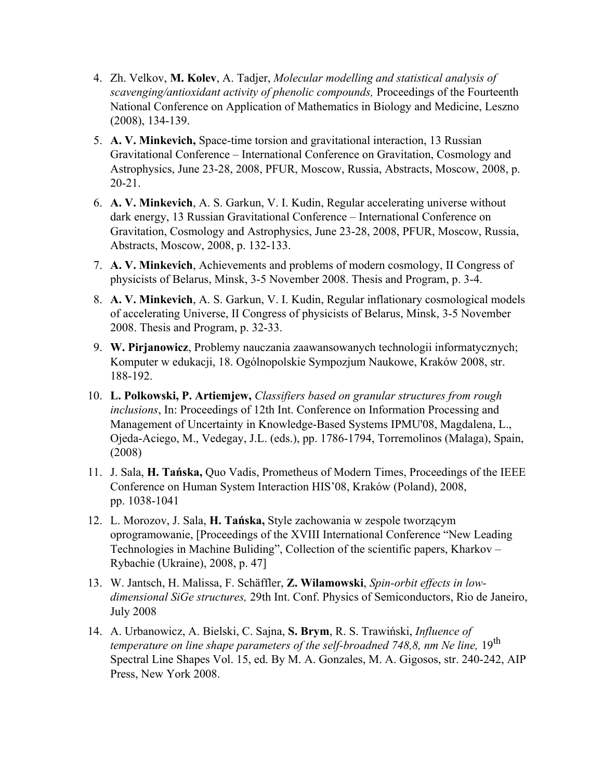- 4. Zh. Velkov, **M. Kolev**, A. Tadjer, *Molecular modelling and statistical analysis of scavenging/antioxidant activity of phenolic compounds,* Proceedings of the Fourteenth National Conference on Application of Mathematics in Biology and Medicine, Leszno (2008), 134-139.
- 5. **A. V. Minkevich,** Space-time torsion and gravitational interaction, 13 Russian Gravitational Conference – International Conference on Gravitation, Cosmology and Astrophysics, June 23-28, 2008, PFUR, Moscow, Russia, Abstracts, Моscow, 2008, p. 20-21.
- 6. **A. V. Minkevich**, A. S. Garkun, V. I. Kudin, Regular accelerating universe without dark energy, 13 Russian Gravitational Conference – International Conference on Gravitation, Cosmology and Astrophysics, June 23-28, 2008, PFUR, Moscow, Russia, Abstracts, Моscow, 2008, p. 132-133.
- 7. **A. V. Minkevich**, Achievements and problems of modern cosmology, II Congress of physicists of Belarus, Minsk, 3-5 November 2008. Thesis and Program, p. 3-4.
- 8. **A. V. Minkevich**, A. S. Garkun, V. I. Kudin, Regular inflationary cosmological models of accelerating Universe, II Congress of physicists of Belarus, Minsk, 3-5 November 2008. Thesis and Program, p. 32-33.
- 9. **W. Pirjanowicz**, Problemy nauczania zaawansowanych technologii informatycznych; Komputer w edukacji, 18. Ogólnopolskie Sympozjum Naukowe, Kraków 2008, str. 188-192.
- 10. **L. Polkowski, P. Artiemjew,** *Classifiers based on granular structures from rough inclusions*, In: Proceedings of 12th Int. Conference on Information Processing and Management of Uncertainty in Knowledge-Based Systems IPMU'08, Magdalena, L., Ojeda-Aciego, M., Vedegay, J.L. (eds.), pp. 1786-1794, Torremolinos (Malaga), Spain, (2008)
- 11. J. Sala, **H. Tańska,** Quo Vadis, Prometheus of Modern Times, Proceedings of the IEEE Conference on Human System Interaction HIS'08, Kraków (Poland), 2008, pp. 1038-1041
- 12. L. Morozov, J. Sala, **H. Tańska,** Style zachowania w zespole tworzącym oprogramowanie, [Proceedings of the XVIII International Conference "New Leading Technologies in Machine Buliding", Collection of the scientific papers, Kharkov – Rybachie (Ukraine), 2008, p. 47]
- 13. W. Jantsch, H. Malissa, F. Schäffler, **Z. Wilamowski**, *Spin-orbit effects in lowdimensional SiGe structures,* 29th Int. Conf. Physics of Semiconductors, Rio de Janeiro, July 2008
- 14. A. Urbanowicz, A. Bielski, C. Sajna, **S. Brym**, R. S. Trawiński, *Influence of temperature on line shape parameters of the self-broadned 748,8, nm Ne line,* 19<sup>th</sup> Spectral Line Shapes Vol. 15, ed. By M. A. Gonzales, M. A. Gigosos, str. 240-242, AIP Press, New York 2008.